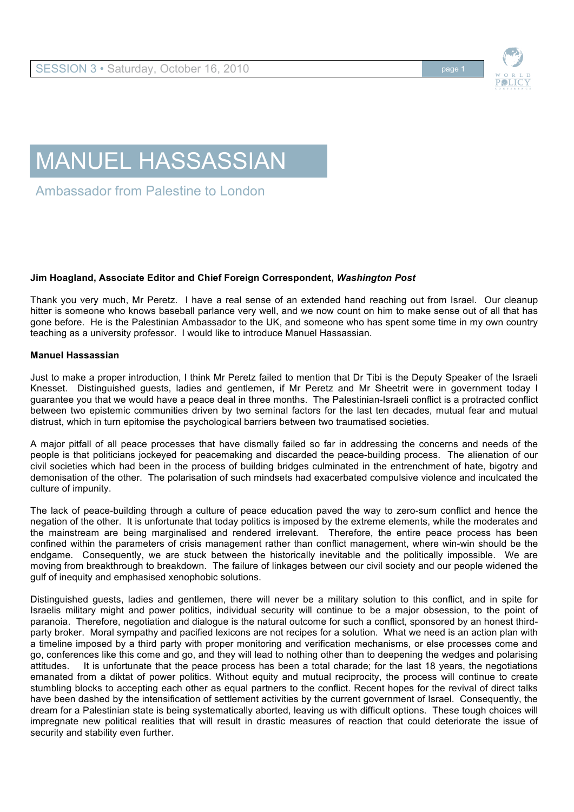

## MANUEL HASSASSIAN

Ambassador from Palestine to London

## **Jim Hoagland, Associate Editor and Chief Foreign Correspondent,** *Washington Post*

Thank you very much, Mr Peretz. I have a real sense of an extended hand reaching out from Israel. Our cleanup hitter is someone who knows baseball parlance very well, and we now count on him to make sense out of all that has gone before. He is the Palestinian Ambassador to the UK, and someone who has spent some time in my own country teaching as a university professor. I would like to introduce Manuel Hassassian.

## **Manuel Hassassian**

Just to make a proper introduction, I think Mr Peretz failed to mention that Dr Tibi is the Deputy Speaker of the Israeli Knesset. Distinguished guests, ladies and gentlemen, if Mr Peretz and Mr Sheetrit were in government today I guarantee you that we would have a peace deal in three months. The Palestinian-Israeli conflict is a protracted conflict between two epistemic communities driven by two seminal factors for the last ten decades, mutual fear and mutual distrust, which in turn epitomise the psychological barriers between two traumatised societies.

A major pitfall of all peace processes that have dismally failed so far in addressing the concerns and needs of the people is that politicians jockeyed for peacemaking and discarded the peace-building process. The alienation of our civil societies which had been in the process of building bridges culminated in the entrenchment of hate, bigotry and demonisation of the other. The polarisation of such mindsets had exacerbated compulsive violence and inculcated the culture of impunity.

The lack of peace-building through a culture of peace education paved the way to zero-sum conflict and hence the negation of the other. It is unfortunate that today politics is imposed by the extreme elements, while the moderates and the mainstream are being marginalised and rendered irrelevant. Therefore, the entire peace process has been confined within the parameters of crisis management rather than conflict management, where win-win should be the endgame. Consequently, we are stuck between the historically inevitable and the politically impossible. We are moving from breakthrough to breakdown. The failure of linkages between our civil society and our people widened the gulf of inequity and emphasised xenophobic solutions.

Distinguished guests, ladies and gentlemen, there will never be a military solution to this conflict, and in spite for Israelis military might and power politics, individual security will continue to be a major obsession, to the point of paranoia. Therefore, negotiation and dialogue is the natural outcome for such a conflict, sponsored by an honest thirdparty broker. Moral sympathy and pacified lexicons are not recipes for a solution. What we need is an action plan with a timeline imposed by a third party with proper monitoring and verification mechanisms, or else processes come and go, conferences like this come and go, and they will lead to nothing other than to deepening the wedges and polarising attitudes. It is unfortunate that the peace process has been a total charade; for the last 18 years, the negotiations emanated from a diktat of power politics. Without equity and mutual reciprocity, the process will continue to create stumbling blocks to accepting each other as equal partners to the conflict. Recent hopes for the revival of direct talks have been dashed by the intensification of settlement activities by the current government of Israel. Consequently, the dream for a Palestinian state is being systematically aborted, leaving us with difficult options. These tough choices will impregnate new political realities that will result in drastic measures of reaction that could deteriorate the issue of security and stability even further.